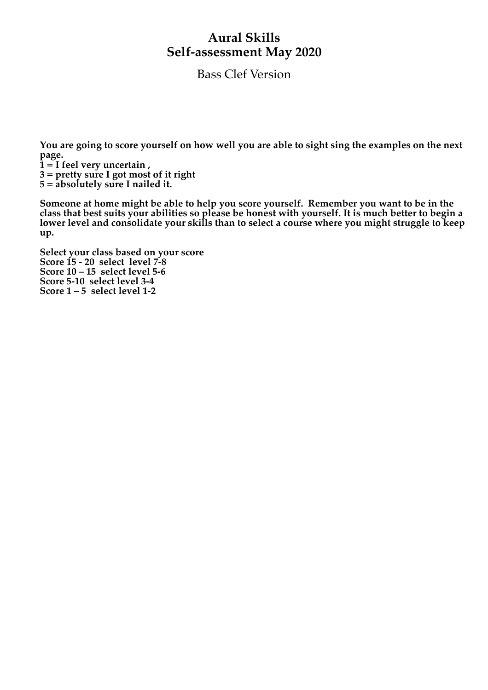## **Aural Skills Self-assessment May 2020**

Bass Clef Version

**You are going to score yourself on how well you are able to sight sing the examples on the next page.** 

- **1 = I feel very uncertain ,**
- **3 = pretty sure I got most of it right**

**5 = absolutely sure I nailed it.**

**Someone at home might be able to help you score yourself. Remember you want to be in the class that best suits your abilities so please be honest with yourself. It is much better to begin a lower level and consolidate your skills than to select a course where you might struggle to keep up.**

**Select your class based on your score Score 15 - 20 select level 7-8 Score 10 – 15 select level 5-6 Score 5-10 select level 3-4 Score 1 – 5 select level 1-2**